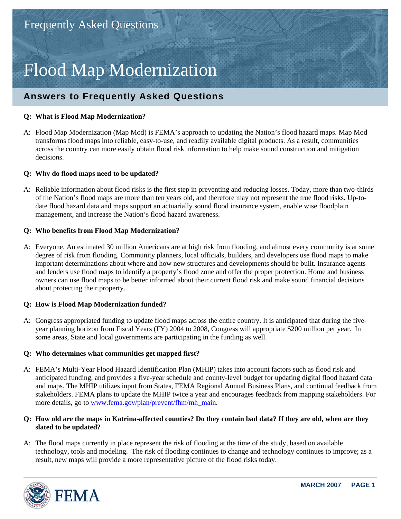# Flood Map Modernization

# **Answers to Frequently Asked Questions**

## **Q: What is Flood Map Modernization?**

A: Flood Map Modernization (Map Mod) is FEMA's approach to updating the Nation's flood hazard maps. Map Mod transforms flood maps into reliable, easy-to-use, and readily available digital products. As a result, communities across the country can more easily obtain flood risk information to help make sound construction and mitigation decisions.

## **Q: Why do flood maps need to be updated?**

A: Reliable information about flood risks is the first step in preventing and reducing losses. Today, more than two-thirds of the Nation's flood maps are more than ten years old, and therefore may not represent the true flood risks. Up-todate flood hazard data and maps support an actuarially sound flood insurance system, enable wise floodplain management, and increase the Nation's flood hazard awareness.

## **Q: Who benefits from Flood Map Modernization?**

A: Everyone. An estimated 30 million Americans are at high risk from flooding, and almost every community is at some degree of risk from flooding. Community planners, local officials, builders, and developers use flood maps to make important determinations about where and how new structures and developments should be built. Insurance agents and lenders use flood maps to identify a property's flood zone and offer the proper protection. Home and business owners can use flood maps to be better informed about their current flood risk and make sound financial decisions about protecting their property.

#### **Q: How is Flood Map Modernization funded?**

A: Congress appropriated funding to update flood maps across the entire country. It is anticipated that during the fiveyear planning horizon from Fiscal Years (FY) 2004 to 2008, Congress will appropriate \$200 million per year. In some areas, State and local governments are participating in the funding as well.

#### **Q: Who determines what communities get mapped first?**

A: FEMA's Multi-Year Flood Hazard Identification Plan (MHIP) takes into account factors such as flood risk and anticipated funding, and provides a five-year schedule and county-level budget for updating digital flood hazard data and maps. The MHIP utilizes input from States, FEMA Regional Annual Business Plans, and continual feedback from stakeholders. FEMA plans to update the MHIP twice a year and encourages feedback from mapping stakeholders. For more details, go to www.fema.gov/plan/prevent/fhm/mh\_main.

#### **Q: How old are the maps in Katrina-affected counties? Do they contain bad data? If they are old, when are they slated to be updated?**

A: The flood maps currently in place represent the risk of flooding at the time of the study, based on available technology, tools and modeling. The risk of flooding continues to change and technology continues to improve; as a result, new maps will provide a more representative picture of the flood risks today.